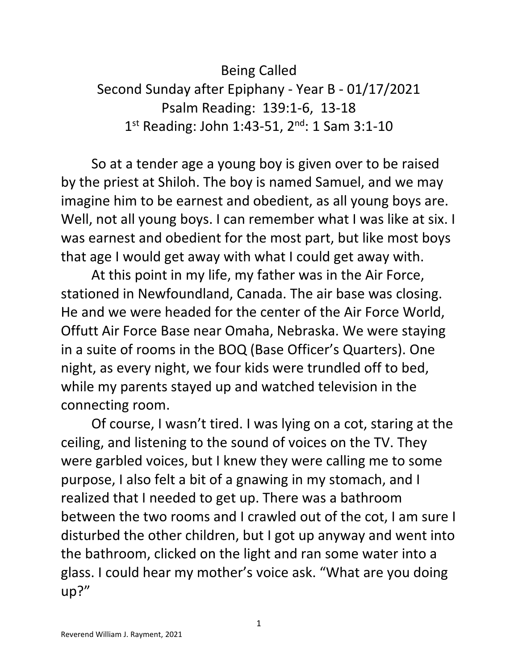Being Called Second Sunday after Epiphany - Year B - 01/17/2021 Psalm Reading: 139:1-6, 13-18 1<sup>st</sup> Reading: John 1:43-51, 2<sup>nd</sup>: 1 Sam 3:1-10

 So at a tender age a young boy is given over to be raised by the priest at Shiloh. The boy is named Samuel, and we may imagine him to be earnest and obedient, as all young boys are. Well, not all young boys. I can remember what I was like at six. I was earnest and obedient for the most part, but like most boys that age I would get away with what I could get away with.

 At this point in my life, my father was in the Air Force, stationed in Newfoundland, Canada. The air base was closing. He and we were headed for the center of the Air Force World, Offutt Air Force Base near Omaha, Nebraska. We were staying in a suite of rooms in the BOQ (Base Officer's Quarters). One night, as every night, we four kids were trundled off to bed, while my parents stayed up and watched television in the connecting room.

 Of course, I wasn't tired. I was lying on a cot, staring at the ceiling, and listening to the sound of voices on the TV. They were garbled voices, but I knew they were calling me to some purpose, I also felt a bit of a gnawing in my stomach, and I realized that I needed to get up. There was a bathroom between the two rooms and I crawled out of the cot, I am sure I disturbed the other children, but I got up anyway and went into the bathroom, clicked on the light and ran some water into a glass. I could hear my mother's voice ask. "What are you doing up?"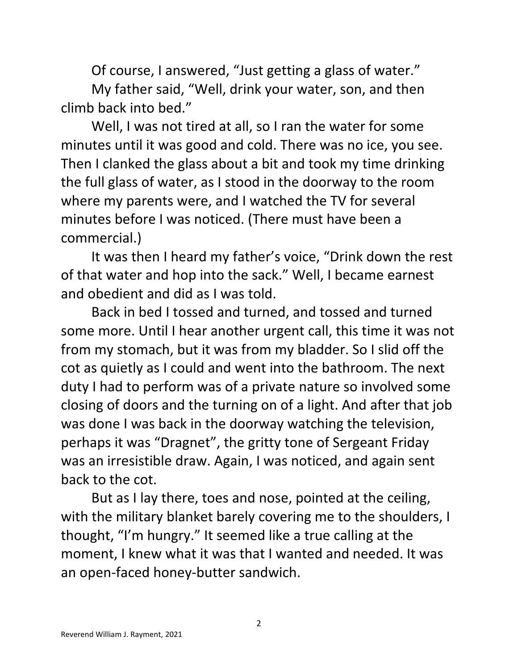Of course, I answered, "Just getting a glass of water."

 My father said, "Well, drink your water, son, and then climb back into bed."

 Well, I was not tired at all, so I ran the water for some minutes until it was good and cold. There was no ice, you see. Then I clanked the glass about a bit and took my time drinking the full glass of water, as I stood in the doorway to the room where my parents were, and I watched the TV for several minutes before I was noticed. (There must have been a commercial.)

 It was then I heard my father's voice, "Drink down the rest of that water and hop into the sack." Well, I became earnest and obedient and did as I was told.

 Back in bed I tossed and turned, and tossed and turned some more. Until I hear another urgent call, this time it was not from my stomach, but it was from my bladder. So I slid off the cot as quietly as I could and went into the bathroom. The next duty I had to perform was of a private nature so involved some closing of doors and the turning on of a light. And after that job was done I was back in the doorway watching the television, perhaps it was "Dragnet", the gritty tone of Sergeant Friday was an irresistible draw. Again, I was noticed, and again sent back to the cot.

 But as I lay there, toes and nose, pointed at the ceiling, with the military blanket barely covering me to the shoulders, I thought, "I'm hungry." It seemed like a true calling at the moment, I knew what it was that I wanted and needed. It was an open-faced honey-butter sandwich.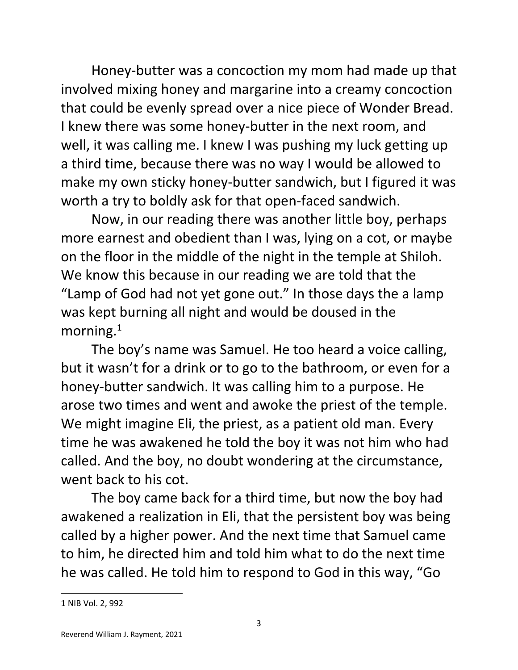Honey-butter was a concoction my mom had made up that involved mixing honey and margarine into a creamy concoction that could be evenly spread over a nice piece of Wonder Bread. I knew there was some honey-butter in the next room, and well, it was calling me. I knew I was pushing my luck getting up a third time, because there was no way I would be allowed to make my own sticky honey-butter sandwich, but I figured it was worth a try to boldly ask for that open-faced sandwich.

 Now, in our reading there was another little boy, perhaps more earnest and obedient than I was, lying on a cot, or maybe on the floor in the middle of the night in the temple at Shiloh. We know this because in our reading we are told that the "Lamp of God had not yet gone out." In those days the a lamp was kept burning all night and would be doused in the morning.<sup>1</sup>

 The boy's name was Samuel. He too heard a voice calling, but it wasn't for a drink or to go to the bathroom, or even for a honey-butter sandwich. It was calling him to a purpose. He arose two times and went and awoke the priest of the temple. We might imagine Eli, the priest, as a patient old man. Every time he was awakened he told the boy it was not him who had called. And the boy, no doubt wondering at the circumstance, went back to his cot.

 The boy came back for a third time, but now the boy had awakened a realization in Eli, that the persistent boy was being called by a higher power. And the next time that Samuel came to him, he directed him and told him what to do the next time he was called. He told him to respond to God in this way, "Go

<sup>1</sup> NIB Vol. 2, 992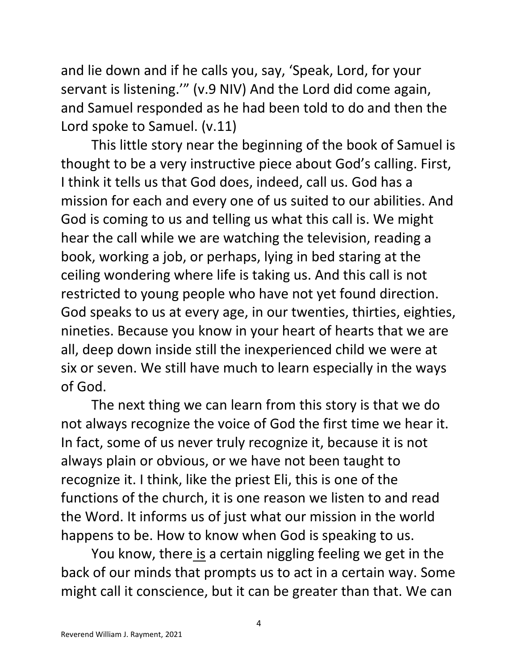and lie down and if he calls you, say, 'Speak, Lord, for your servant is listening.'" (v.9 NIV) And the Lord did come again, and Samuel responded as he had been told to do and then the Lord spoke to Samuel. (v.11)

 This little story near the beginning of the book of Samuel is thought to be a very instructive piece about God's calling. First, I think it tells us that God does, indeed, call us. God has a mission for each and every one of us suited to our abilities. And God is coming to us and telling us what this call is. We might hear the call while we are watching the television, reading a book, working a job, or perhaps, lying in bed staring at the ceiling wondering where life is taking us. And this call is not restricted to young people who have not yet found direction. God speaks to us at every age, in our twenties, thirties, eighties, nineties. Because you know in your heart of hearts that we are all, deep down inside still the inexperienced child we were at six or seven. We still have much to learn especially in the ways of God.

 The next thing we can learn from this story is that we do not always recognize the voice of God the first time we hear it. In fact, some of us never truly recognize it, because it is not always plain or obvious, or we have not been taught to recognize it. I think, like the priest Eli, this is one of the functions of the church, it is one reason we listen to and read the Word. It informs us of just what our mission in the world happens to be. How to know when God is speaking to us.

 You know, there is a certain niggling feeling we get in the back of our minds that prompts us to act in a certain way. Some might call it conscience, but it can be greater than that. We can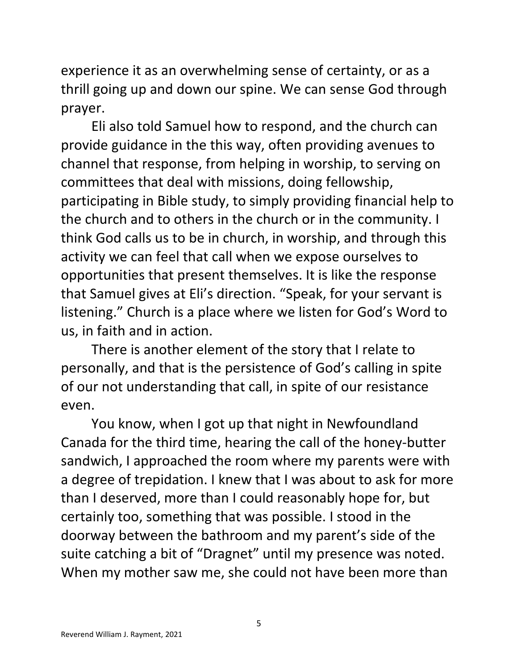experience it as an overwhelming sense of certainty, or as a thrill going up and down our spine. We can sense God through prayer.

 Eli also told Samuel how to respond, and the church can provide guidance in the this way, often providing avenues to channel that response, from helping in worship, to serving on committees that deal with missions, doing fellowship, participating in Bible study, to simply providing financial help to the church and to others in the church or in the community. I think God calls us to be in church, in worship, and through this activity we can feel that call when we expose ourselves to opportunities that present themselves. It is like the response that Samuel gives at Eli's direction. "Speak, for your servant is listening." Church is a place where we listen for God's Word to us, in faith and in action.

 There is another element of the story that I relate to personally, and that is the persistence of God's calling in spite of our not understanding that call, in spite of our resistance even.

 You know, when I got up that night in Newfoundland Canada for the third time, hearing the call of the honey-butter sandwich, I approached the room where my parents were with a degree of trepidation. I knew that I was about to ask for more than I deserved, more than I could reasonably hope for, but certainly too, something that was possible. I stood in the doorway between the bathroom and my parent's side of the suite catching a bit of "Dragnet" until my presence was noted. When my mother saw me, she could not have been more than